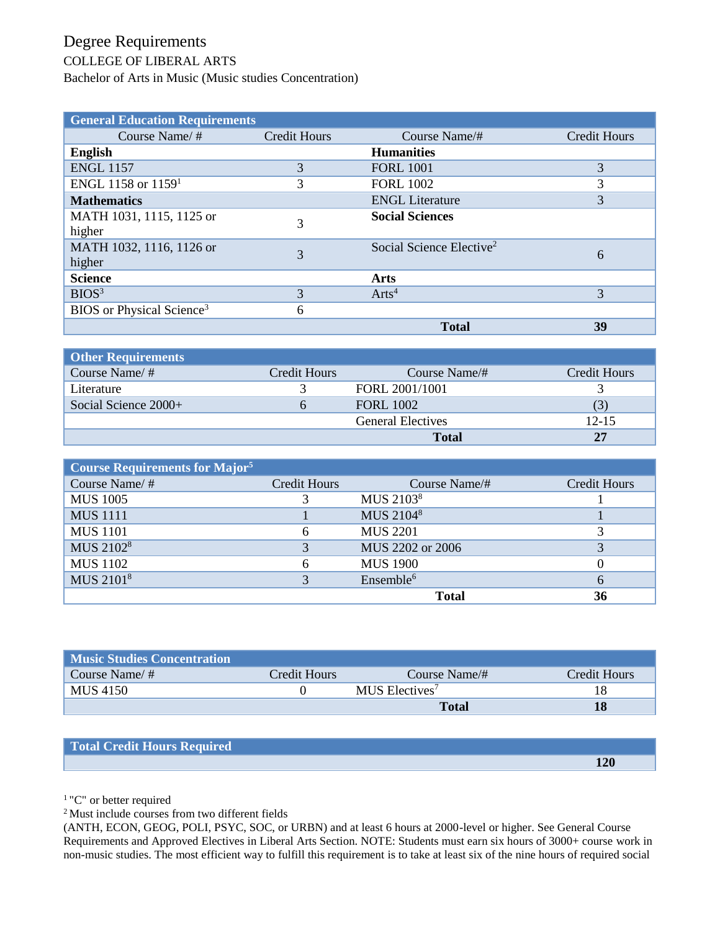## Degree Requirements

## COLLEGE OF LIBERAL ARTS

Bachelor of Arts in Music (Music studies Concentration)

| <b>General Education Requirements</b> |                     |                                      |              |
|---------------------------------------|---------------------|--------------------------------------|--------------|
| Course Name/ $#$                      | <b>Credit Hours</b> | Course Name/#                        | Credit Hours |
| <b>English</b>                        |                     | <b>Humanities</b>                    |              |
| <b>ENGL 1157</b>                      | 3                   | <b>FORL 1001</b>                     | 3            |
| ENGL 1158 or $1159^1$                 | 3                   | <b>FORL 1002</b>                     | 3            |
| <b>Mathematics</b>                    |                     | <b>ENGL Literature</b>               | 3            |
| MATH 1031, 1115, 1125 or              | 3                   | <b>Social Sciences</b>               |              |
| higher                                |                     |                                      |              |
| MATH 1032, 1116, 1126 or              | 3                   | Social Science Elective <sup>2</sup> | 6            |
| higher                                |                     |                                      |              |
| <b>Science</b>                        |                     | Arts                                 |              |
| BIOS <sup>3</sup>                     | 3                   | Arts <sup>4</sup>                    | 3            |
| BIOS or Physical Science <sup>3</sup> | 6                   |                                      |              |
|                                       |                     | <b>Total</b>                         | 39           |

| <b>Other Requirements</b> |              |                          |              |
|---------------------------|--------------|--------------------------|--------------|
| Course Name/ $#$          | Credit Hours | Course Name/#            | Credit Hours |
| Literature                |              | FORL 2001/1001           |              |
| Social Science $2000+$    | n            | <b>FORL 1002</b>         |              |
|                           |              | <b>General Electives</b> | $12 - 15$    |
|                           |              | <b>Total</b>             | 27           |

| <b>Course Requirements for Major<sup>5</sup></b> |              |                       |              |
|--------------------------------------------------|--------------|-----------------------|--------------|
| Course Name/#                                    | Credit Hours | Course Name/#         | Credit Hours |
| <b>MUS 1005</b>                                  |              | MUS 2103 <sup>8</sup> |              |
| <b>MUS</b> 1111                                  |              | MUS 21048             |              |
| <b>MUS</b> 1101                                  | 6            | <b>MUS 2201</b>       |              |
| MUS 2102 <sup>8</sup>                            | 3            | MUS 2202 or 2006      |              |
| <b>MUS 1102</b>                                  | 6            | <b>MUS 1900</b>       |              |
| MUS 21018                                        | 3            | Ensemble <sup>6</sup> |              |
|                                                  |              | <b>Total</b>          | 36           |

| <b>Music Studies Concentration</b> |              |                            |              |
|------------------------------------|--------------|----------------------------|--------------|
| Course Name/ $#$                   | Credit Hours | Course Name/#              | Credit Hours |
| MUS 4150                           |              | MUS Electives <sup>7</sup> |              |
|                                    |              | <b>Total</b>               | 18           |

| Total Credit Hours Required |     |
|-----------------------------|-----|
|                             | 120 |

<sup>1</sup> "C" or better required

<sup>2</sup> Must include courses from two different fields

(ANTH, ECON, GEOG, POLI, PSYC, SOC, or URBN) and at least 6 hours at 2000-level or higher. See General Course Requirements and Approved Electives in Liberal Arts Section. NOTE: Students must earn six hours of 3000+ course work in non-music studies. The most efficient way to fulfill this requirement is to take at least six of the nine hours of required social